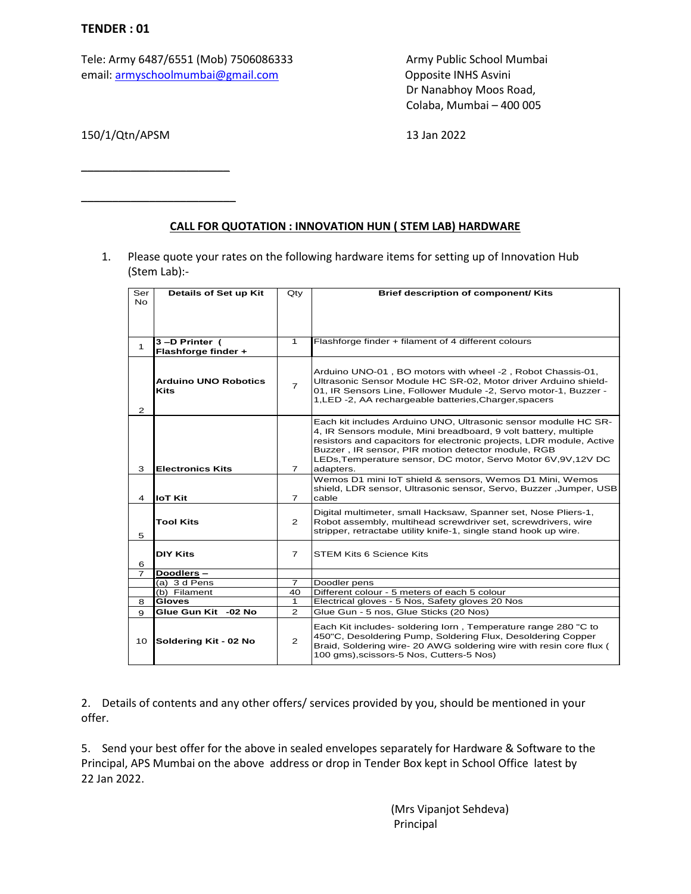Tele: Army 6487/6551 (Mob) 7506086333 Army Public School Mumbai email: [armyschoolmumbai@gmail.com](mailto:armyschoolmumbai@gmail.com) Opposite INHS Asvini

Dr Nanabhoy Moos Road, Colaba, Mumbai – 400 005

150/1/Qtn/APSM 13 Jan 2022

\_\_\_\_\_\_\_\_\_\_\_\_\_\_\_\_\_\_\_\_\_\_\_\_

\_\_\_\_\_\_\_\_\_\_\_\_\_\_\_\_\_\_\_\_\_\_\_\_\_

## **CALL FOR QUOTATION : INNOVATION HUN ( STEM LAB) HARDWARE**

1. Please quote your rates on the following hardware items for setting up of Innovation Hub (Stem Lab):-

| Ser            | Details of Set up Kit                | $Q$ ty                                                      | Brief description of component/ Kits                                                                                          |  |  |  |
|----------------|--------------------------------------|-------------------------------------------------------------|-------------------------------------------------------------------------------------------------------------------------------|--|--|--|
| <b>No</b>      |                                      |                                                             |                                                                                                                               |  |  |  |
|                |                                      |                                                             |                                                                                                                               |  |  |  |
|                |                                      | $\mathbf{1}$                                                | Flashforge finder + filament of 4 different colours                                                                           |  |  |  |
| 1              | 3-D Printer (<br>Flashforge finder + |                                                             |                                                                                                                               |  |  |  |
|                |                                      |                                                             |                                                                                                                               |  |  |  |
|                | <b>Arduino UNO Robotics</b>          |                                                             | Arduino UNO-01, BO motors with wheel -2, Robot Chassis-01,<br>Ultrasonic Sensor Module HC SR-02, Motor driver Arduino shield- |  |  |  |
|                | <b>Kits</b>                          | $\overline{7}$                                              | 01, IR Sensors Line, Follower Mudule -2, Servo motor-1, Buzzer -                                                              |  |  |  |
|                |                                      |                                                             | 1, LED -2, AA rechargeable batteries, Charger, spacers                                                                        |  |  |  |
| $\mathbf{Z}$   |                                      |                                                             | Each kit includes Arduino UNO, Ultrasonic sensor modulle HC SR-                                                               |  |  |  |
|                |                                      |                                                             | 4, IR Sensors module, Mini breadboard, 9 volt battery, multiple                                                               |  |  |  |
|                |                                      |                                                             | resistors and capacitors for electronic projects, LDR module, Active<br>Buzzer, IR sensor, PIR motion detector module, RGB    |  |  |  |
|                |                                      |                                                             | LEDs, Temperature sensor, DC motor, Servo Motor 6V, 9V, 12V DC                                                                |  |  |  |
| 3              | <b>Electronics Kits</b>              | $\overline{7}$                                              | adapters.                                                                                                                     |  |  |  |
|                |                                      |                                                             | Wemos D1 mini IoT shield & sensors, Wemos D1 Mini, Wemos<br>shield, LDR sensor, Ultrasonic sensor, Servo, Buzzer, Jumper, USB |  |  |  |
| 4              | <b>IoT Kit</b>                       | $\overline{7}$                                              | cable                                                                                                                         |  |  |  |
|                |                                      |                                                             | Digital multimeter, small Hacksaw, Spanner set, Nose Pliers-1,                                                                |  |  |  |
|                | <b>Tool Kits</b>                     | $\mathbf{2}^{\prime}$                                       | Robot assembly, multihead screwdriver set, screwdrivers, wire                                                                 |  |  |  |
| 5              |                                      |                                                             | stripper, retractabe utility knife-1, single stand hook up wire.                                                              |  |  |  |
|                | <b>DIY Kits</b><br>$\overline{7}$    |                                                             | <b>STEM Kits 6 Science Kits</b>                                                                                               |  |  |  |
| 6              |                                      |                                                             |                                                                                                                               |  |  |  |
| $\overline{7}$ | Doodlers-                            |                                                             |                                                                                                                               |  |  |  |
|                | (a) $3 d$ Pens                       | $\overline{7}$                                              | Doodler pens                                                                                                                  |  |  |  |
|                | (b) Filament                         | 40                                                          | Different colour - 5 meters of each 5 colour                                                                                  |  |  |  |
| 8              | <b>Gloves</b>                        | 1                                                           | Electrical gloves - 5 Nos, Safety gloves 20 Nos                                                                               |  |  |  |
| 9              | Glue Gun Kit -02 No                  | $\overline{2}$                                              | Glue Gun - 5 nos, Glue Sticks (20 Nos)                                                                                        |  |  |  |
|                |                                      |                                                             | Each Kit includes- soldering lorn, Temperature range 280 "C to                                                                |  |  |  |
|                |                                      | 450"C, Desoldering Pump, Soldering Flux, Desoldering Copper |                                                                                                                               |  |  |  |
| 10             | Soldering Kit - 02 No                | $\overline{2}$                                              | Braid, Soldering wire- 20 AWG soldering wire with resin core flux (                                                           |  |  |  |
|                |                                      |                                                             | 100 gms), scissors-5 Nos, Cutters-5 Nos)                                                                                      |  |  |  |
|                |                                      |                                                             |                                                                                                                               |  |  |  |

2. Details of contents and any other offers/ services provided by you, should be mentioned in your offer.

5. Send your best offer for the above in sealed envelopes separately for Hardware & Software to the Principal, APS Mumbai on the above address or drop in Tender Box kept in School Office latest by 22 Jan 2022.

> (Mrs Vipanjot Sehdeva) Principal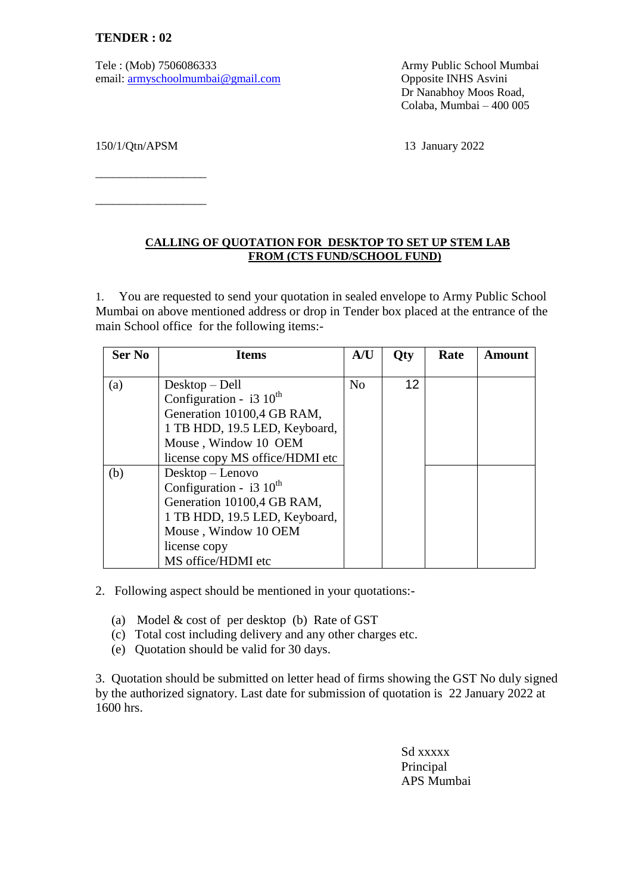Tele : (Mob) 7506086333 Army Public School Mumbai email: [armyschoolmumbai@gmail.com](mailto:armyschoolmumbai@gmail.com) Opposite INHS Asvini

Dr Nanabhoy Moos Road, Colaba, Mumbai – 400 005

150/1/Qtn/APSM 13 January 2022

\_\_\_\_\_\_\_\_\_\_\_\_\_\_\_\_\_\_\_

\_\_\_\_\_\_\_\_\_\_\_\_\_\_\_\_\_\_\_

## **CALLING OF QUOTATION FOR DESKTOP TO SET UP STEM LAB FROM (CTS FUND/SCHOOL FUND)**

1. You are requested to send your quotation in sealed envelope to Army Public School Mumbai on above mentioned address or drop in Tender box placed at the entrance of the main School office for the following items:-

| <b>Ser No</b> | <b>Items</b>                        | A/U            | Qty | Rate | Amount |
|---------------|-------------------------------------|----------------|-----|------|--------|
|               |                                     |                |     |      |        |
| (a)           | $Desktop - Dell$                    | N <sub>o</sub> | 12  |      |        |
|               | Configuration - $i3 \ 10^{th}$      |                |     |      |        |
|               | Generation 10100,4 GB RAM,          |                |     |      |        |
|               | 1 TB HDD, 19.5 LED, Keyboard,       |                |     |      |        |
|               | Mouse, Window 10 OEM                |                |     |      |        |
|               | license copy MS office/HDMI etc     |                |     |      |        |
| (b)           | Desktop – Lenovo                    |                |     |      |        |
|               | Configuration - $i3 \times 10^{th}$ |                |     |      |        |
|               | Generation 10100,4 GB RAM,          |                |     |      |        |
|               | 1 TB HDD, 19.5 LED, Keyboard,       |                |     |      |        |
|               | Mouse, Window 10 OEM                |                |     |      |        |
|               | license copy                        |                |     |      |        |
|               | MS office/HDMI etc                  |                |     |      |        |

2. Following aspect should be mentioned in your quotations:-

- (a) Model & cost of per desktop (b) Rate of GST
- (c) Total cost including delivery and any other charges etc.
- (e) Quotation should be valid for 30 days.

3. Quotation should be submitted on letter head of firms showing the GST No duly signed by the authorized signatory. Last date for submission of quotation is 22 January 2022 at 1600 hrs.

> Sd xxxxx Principal APS Mumbai